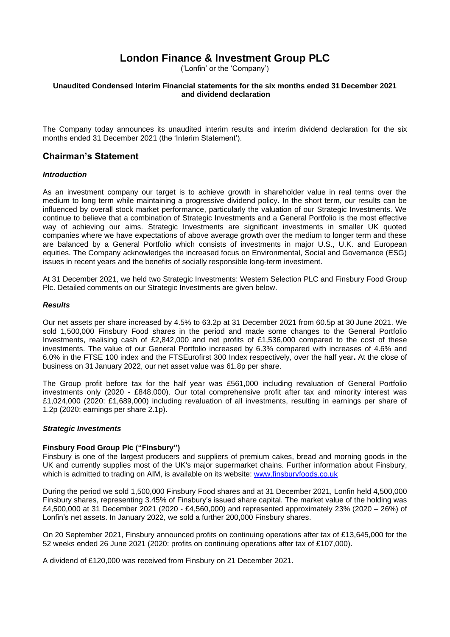## **London Finance & Investment Group PLC**

('Lonfin' or the 'Company')

### **Unaudited Condensed Interim Financial statements for the six months ended 31 December 2021 and dividend declaration**

The Company today announces its unaudited interim results and interim dividend declaration for the six months ended 31 December 2021 (the 'Interim Statement').

### **Chairman's Statement**

### *Introduction*

As an investment company our target is to achieve growth in shareholder value in real terms over the medium to long term while maintaining a progressive dividend policy. In the short term, our results can be influenced by overall stock market performance, particularly the valuation of our Strategic Investments. We continue to believe that a combination of Strategic Investments and a General Portfolio is the most effective way of achieving our aims. Strategic Investments are significant investments in smaller UK quoted companies where we have expectations of above average growth over the medium to longer term and these are balanced by a General Portfolio which consists of investments in major U.S., U.K. and European equities. The Company acknowledges the increased focus on Environmental, Social and Governance (ESG) issues in recent years and the benefits of socially responsible long-term investment.

At 31 December 2021, we held two Strategic Investments: Western Selection PLC and Finsbury Food Group Plc. Detailed comments on our Strategic Investments are given below.

### *Results*

Our net assets per share increased by 4.5% to 63.2p at 31 December 2021 from 60.5p at 30 June 2021. We sold 1,500,000 Finsbury Food shares in the period and made some changes to the General Portfolio Investments, realising cash of £2,842,000 and net profits of £1,536,000 compared to the cost of these investments. The value of our General Portfolio increased by 6.3% compared with increases of 4.6% and 6.0% in the FTSE 100 index and the FTSEurofirst 300 Index respectively, over the half year**.** At the close of business on 31 January 2022, our net asset value was 61.8p per share.

The Group profit before tax for the half year was £561,000 including revaluation of General Portfolio investments only (2020 - £848,000). Our total comprehensive profit after tax and minority interest was £1,024,000 (2020: £1,689,000) including revaluation of all investments, resulting in earnings per share of 1.2p (2020: earnings per share 2.1p).

### *Strategic Investments*

### **Finsbury Food Group Plc ("Finsbury")**

Finsbury is one of the largest producers and suppliers of premium cakes, bread and morning goods in the UK and currently supplies most of the UK's major supermarket chains. Further information about Finsbury, which is admitted to trading on AIM, is available on its website: [www.finsburyfoods.co.uk](http://www.finsburyfoods.co.uk/)

During the period we sold 1,500,000 Finsbury Food shares and at 31 December 2021, Lonfin held 4,500,000 Finsbury shares, representing 3.45% of Finsbury's issued share capital. The market value of the holding was £4,500,000 at 31 December 2021 (2020 - £4,560,000) and represented approximately 23% (2020 – 26%) of Lonfin's net assets. In January 2022, we sold a further 200,000 Finsbury shares.

On 20 September 2021, Finsbury announced profits on continuing operations after tax of £13,645,000 for the 52 weeks ended 26 June 2021 (2020: profits on continuing operations after tax of £107,000).

A dividend of £120,000 was received from Finsbury on 21 December 2021.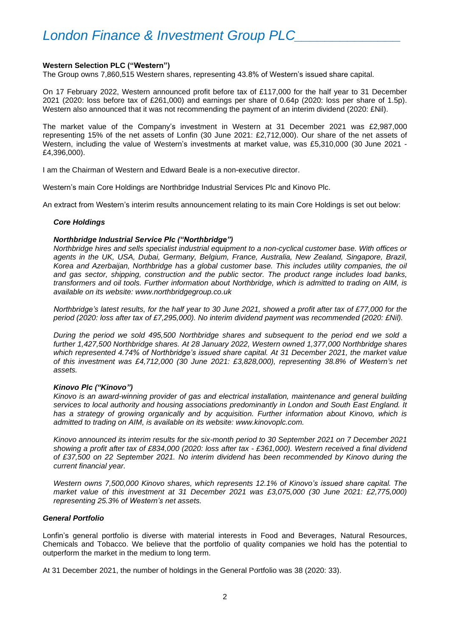### **Western Selection PLC ("Western")**

The Group owns 7,860,515 Western shares, representing 43.8% of Western's issued share capital.

On 17 February 2022, Western announced profit before tax of £117,000 for the half year to 31 December 2021 (2020: loss before tax of £261,000) and earnings per share of 0.64p (2020: loss per share of 1.5p). Western also announced that it was not recommending the payment of an interim dividend (2020: £Nil).

The market value of the Company's investment in Western at 31 December 2021 was £2,987,000 representing 15% of the net assets of Lonfin (30 June 2021: £2,712,000). Our share of the net assets of Western, including the value of Western's investments at market value, was £5,310,000 (30 June 2021 - £4,396,000).

I am the Chairman of Western and Edward Beale is a non-executive director.

Western's main Core Holdings are Northbridge Industrial Services Plc and Kinovo Plc.

An extract from Western's interim results announcement relating to its main Core Holdings is set out below:

#### *Core Holdings*

#### *Northbridge Industrial Service Plc ("Northbridge")*

*Northbridge hires and sells specialist industrial equipment to a non-cyclical customer base. With offices or agents in the UK, USA, Dubai, Germany, Belgium, France, Australia, New Zealand, Singapore, Brazil, Korea and Azerbaijan, Northbridge has a global customer base. This includes utility companies, the oil and gas sector, shipping, construction and the public sector. The product range includes load banks, transformers and oil tools. Further information about Northbridge, which is admitted to trading on AIM, is available on its website: [www.northbridgegroup.co.uk](http://www.northbridgegroup.co.uk/)*

*Northbridge's latest results, for the half year to 30 June 2021, showed a profit after tax of £77,000 for the period (2020: loss after tax of £7,295,000). No interim dividend payment was recommended (2020: £Nil).*

*During the period we sold 495,500 Northbridge shares and subsequent to the period end we sold a further 1,427,500 Northbridge shares. At 28 January 2022, Western owned 1,377,000 Northbridge shares which represented 4.74% of Northbridge's issued share capital. At 31 December 2021, the market value of this investment was £4,712,000 (30 June 2021: £3,828,000), representing 38.8% of Western's net assets.*

### *Kinovo Plc ("Kinovo")*

*Kinovo is an award-winning provider of gas and electrical installation, maintenance and general building services to local authority and housing associations predominantly in London and South East England. It has a strategy of growing organically and by acquisition. Further information about Kinovo, which is admitted to trading on AIM, is available on its website: [www.kinovoplc.com.](http://www.bilbyplc.com/)*

*Kinovo announced its interim results for the six-month period to 30 September 2021 on 7 December 2021 showing a profit after tax of £834,000 (2020: loss after tax - £361,000). Western received a final dividend of £37,500 on 22 September 2021. No interim dividend has been recommended by Kinovo during the current financial year.*

*Western owns 7,500,000 Kinovo shares, which represents 12.1% of Kinovo's issued share capital. The market value of this investment at 31 December 2021 was £3,075,000 (30 June 2021: £2,775,000) representing 25.3% of Western's net assets.*

### *General Portfolio*

Lonfin's general portfolio is diverse with material interests in Food and Beverages, Natural Resources, Chemicals and Tobacco. We believe that the portfolio of quality companies we hold has the potential to outperform the market in the medium to long term.

At 31 December 2021, the number of holdings in the General Portfolio was 38 (2020: 33).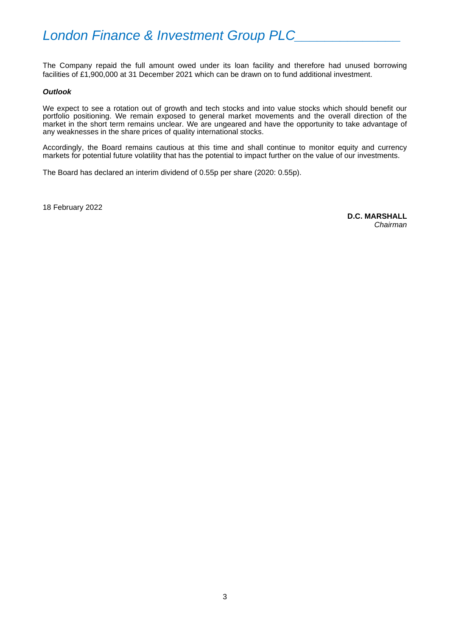The Company repaid the full amount owed under its loan facility and therefore had unused borrowing facilities of £1,900,000 at 31 December 2021 which can be drawn on to fund additional investment.

### *Outlook*

We expect to see a rotation out of growth and tech stocks and into value stocks which should benefit our portfolio positioning. We remain exposed to general market movements and the overall direction of the market in the short term remains unclear. We are ungeared and have the opportunity to take advantage of any weaknesses in the share prices of quality international stocks.

Accordingly, the Board remains cautious at this time and shall continue to monitor equity and currency markets for potential future volatility that has the potential to impact further on the value of our investments.

The Board has declared an interim dividend of 0.55p per share (2020: 0.55p).

18 February 2022

**D.C. MARSHALL** *Chairman*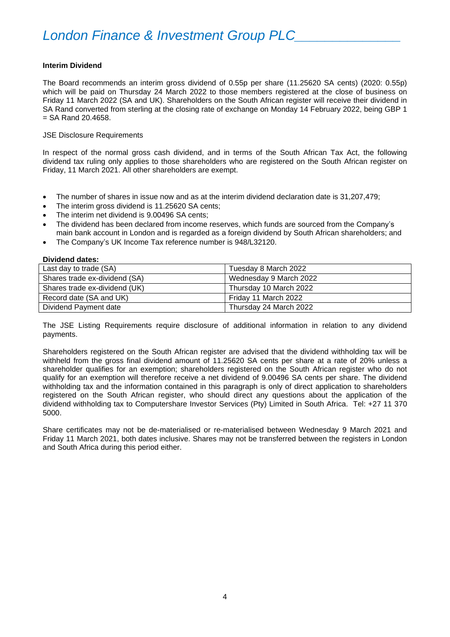### **Interim Dividend**

The Board recommends an interim gross dividend of 0.55p per share (11.25620 SA cents) (2020: 0.55p) which will be paid on Thursday 24 March 2022 to those members registered at the close of business on Friday 11 March 2022 (SA and UK). Shareholders on the South African register will receive their dividend in SA Rand converted from sterling at the closing rate of exchange on Monday 14 February 2022, being GBP 1  $=$  SA Rand 20.4658.

JSE Disclosure Requirements

In respect of the normal gross cash dividend, and in terms of the South African Tax Act, the following dividend tax ruling only applies to those shareholders who are registered on the South African register on Friday, 11 March 2021. All other shareholders are exempt.

- The number of shares in issue now and as at the interim dividend declaration date is 31,207,479;
- The interim gross dividend is 11.25620 SA cents;
- The interim net dividend is 9.00496 SA cents;
- The dividend has been declared from income reserves, which funds are sourced from the Company's main bank account in London and is regarded as a foreign dividend by South African shareholders; and
- The Company's UK Income Tax reference number is 948/L32120.

**Dividend dates:**

| Last day to trade (SA)        | Tuesday 8 March 2022   |
|-------------------------------|------------------------|
| Shares trade ex-dividend (SA) | Wednesday 9 March 2022 |
| Shares trade ex-dividend (UK) | Thursday 10 March 2022 |
| Record date (SA and UK)       | Friday 11 March 2022   |
| Dividend Payment date         | Thursday 24 March 2022 |

The JSE Listing Requirements require disclosure of additional information in relation to any dividend payments.

Shareholders registered on the South African register are advised that the dividend withholding tax will be withheld from the gross final dividend amount of 11.25620 SA cents per share at a rate of 20% unless a shareholder qualifies for an exemption; shareholders registered on the South African register who do not qualify for an exemption will therefore receive a net dividend of 9.00496 SA cents per share. The dividend withholding tax and the information contained in this paragraph is only of direct application to shareholders registered on the South African register, who should direct any questions about the application of the dividend withholding tax to Computershare Investor Services (Pty) Limited in South Africa. Tel: +27 11 370 5000.

Share certificates may not be de-materialised or re-materialised between Wednesday 9 March 2021 and Friday 11 March 2021, both dates inclusive. Shares may not be transferred between the registers in London and South Africa during this period either.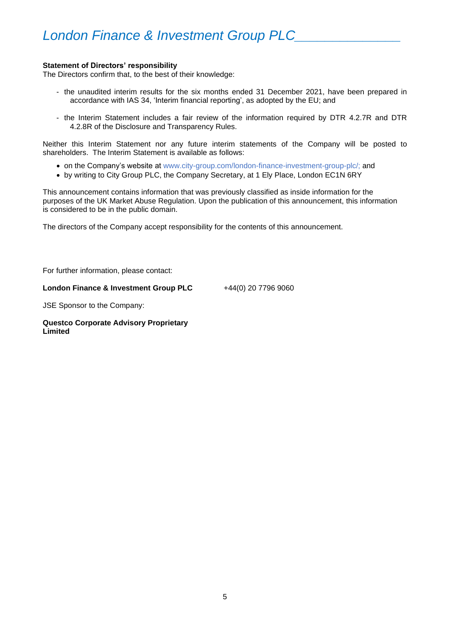### **Statement of Directors' responsibility**

The Directors confirm that, to the best of their knowledge:

- the unaudited interim results for the six months ended 31 December 2021, have been prepared in accordance with IAS 34, 'Interim financial reporting', as adopted by the EU; and
- the Interim Statement includes a fair review of the information required by DTR 4.2.7R and DTR 4.2.8R of the Disclosure and Transparency Rules.

Neither this Interim Statement nor any future interim statements of the Company will be posted to shareholders. The Interim Statement is available as follows:

- on the Company's website at www.city-group.com/london-finance-investment-group-plc/; and
- by writing to City Group PLC, the Company Secretary, at 1 Ely Place, London EC1N 6RY

This announcement contains information that was previously classified as inside information for the purposes of the UK Market Abuse Regulation. Upon the publication of this announcement, this information is considered to be in the public domain.

The directors of the Company accept responsibility for the contents of this announcement.

For further information, please contact:

### **London Finance & Investment Group PLC**

+44(0) 20 7796 9060

JSE Sponsor to the Company:

### **Questco Corporate Advisory Proprietary Limited**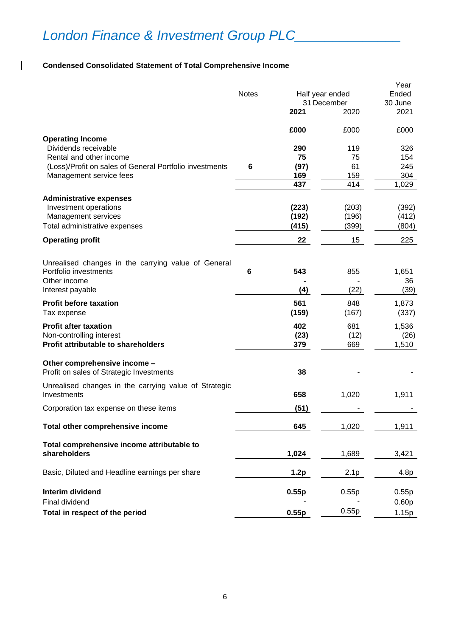## **Condensed Consolidated Statement of Total Comprehensive Income**

 $\overline{1}$ 

|                                                                              |              |                 |             | Year              |
|------------------------------------------------------------------------------|--------------|-----------------|-------------|-------------------|
|                                                                              | <b>Notes</b> | Half year ended |             | Ended             |
|                                                                              |              |                 | 31 December | 30 June           |
|                                                                              |              | 2021            | 2020        | 2021              |
|                                                                              |              | £000            | £000        | £000              |
| <b>Operating Income</b><br>Dividends receivable                              |              | 290             | 119         | 326               |
| Rental and other income                                                      |              | 75              | 75          | 154               |
| (Loss)/Profit on sales of General Portfolio investments                      | 6            | (97)            | 61          | 245               |
| Management service fees                                                      |              | 169             | 159         | 304               |
|                                                                              |              | 437             | 414         | 1,029             |
| <b>Administrative expenses</b>                                               |              |                 |             |                   |
| Investment operations                                                        |              | (223)           | (203)       | (392)             |
| Management services                                                          |              | (192)           | (196)       | (412)             |
| Total administrative expenses                                                |              | (415)           | (399)       | (804)             |
| <b>Operating profit</b>                                                      |              | 22              | 15          | 225               |
|                                                                              |              |                 |             |                   |
| Unrealised changes in the carrying value of General<br>Portfolio investments | 6            | 543             | 855         | 1,651             |
| Other income                                                                 |              |                 |             | 36                |
| Interest payable                                                             |              | (4)             | (22)        | (39)              |
| <b>Profit before taxation</b>                                                |              | 561             | 848         | 1,873             |
| Tax expense                                                                  |              | (159)           | (167)       | (337)             |
| <b>Profit after taxation</b>                                                 |              | 402             | 681         | 1,536             |
| Non-controlling interest                                                     |              | (23)            | (12)        | (26)              |
| Profit attributable to shareholders                                          |              | 379             | 669         | 1,510             |
| Other comprehensive income -                                                 |              |                 |             |                   |
| Profit on sales of Strategic Investments                                     |              | 38              |             |                   |
| Unrealised changes in the carrying value of Strategic                        |              |                 |             |                   |
| Investments                                                                  |              | 658             | 1,020       | 1,911             |
| Corporation tax expense on these items                                       |              | (51)            |             |                   |
| Total other comprehensive income                                             |              | 645             | 1,020       | 1,911             |
| Total comprehensive income attributable to                                   |              |                 |             |                   |
| shareholders                                                                 |              | 1,024           | 1,689       | 3,421             |
| Basic, Diluted and Headline earnings per share                               |              | 1.2p            | 2.1p        | 4.8p              |
|                                                                              |              |                 |             |                   |
| <b>Interim dividend</b>                                                      |              | 0.55p           | 0.55p       | 0.55p             |
| Final dividend                                                               |              |                 |             | 0.60 <sub>p</sub> |
| Total in respect of the period                                               |              | 0.55p           | 0.55p       | 1.15p             |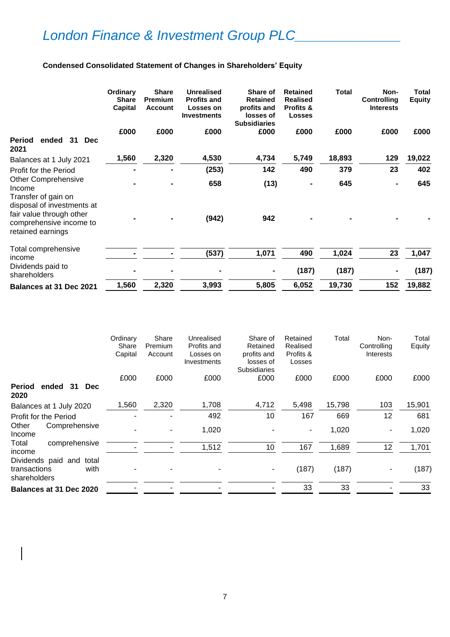## **Condensed Consolidated Statement of Changes in Shareholders' Equity**

|                                                                                                                               | Ordinary<br><b>Share</b><br><b>Capital</b> | <b>Share</b><br><b>Premium</b><br><b>Account</b> | <b>Unrealised</b><br><b>Profits and</b><br>Losses on<br><b>Investments</b> | Share of<br><b>Retained</b><br>profits and<br>losses of<br><b>Subsidiaries</b> | <b>Retained</b><br><b>Realised</b><br>Profits &<br><b>Losses</b> | <b>Total</b> | Non-<br>Controlling<br><b>Interests</b> | Total<br><b>Equity</b> |
|-------------------------------------------------------------------------------------------------------------------------------|--------------------------------------------|--------------------------------------------------|----------------------------------------------------------------------------|--------------------------------------------------------------------------------|------------------------------------------------------------------|--------------|-----------------------------------------|------------------------|
|                                                                                                                               | £000                                       | £000                                             | £000                                                                       | £000                                                                           | £000                                                             | £000         | £000                                    | £000                   |
| ended<br>31<br><b>Dec</b><br>Period<br>2021                                                                                   |                                            |                                                  |                                                                            |                                                                                |                                                                  |              |                                         |                        |
| Balances at 1 July 2021                                                                                                       | 1,560                                      | 2,320                                            | 4,530                                                                      | 4,734                                                                          | 5,749                                                            | 18,893       | 129                                     | 19,022                 |
| Profit for the Period                                                                                                         |                                            |                                                  | (253)                                                                      | 142                                                                            | 490                                                              | 379          | 23                                      | 402                    |
| <b>Other Comprehensive</b><br>Income                                                                                          |                                            |                                                  | 658                                                                        | (13)                                                                           |                                                                  | 645          |                                         | 645                    |
| Transfer of gain on<br>disposal of investments at<br>fair value through other<br>comprehensive income to<br>retained earnings |                                            |                                                  | (942)                                                                      | 942                                                                            |                                                                  |              |                                         |                        |
| Total comprehensive<br>income                                                                                                 |                                            |                                                  | (537)                                                                      | 1,071                                                                          | 490                                                              | 1,024        | 23                                      | 1,047                  |
| Dividends paid to<br>shareholders                                                                                             |                                            |                                                  |                                                                            |                                                                                | (187)                                                            | (187)        | $\blacksquare$                          | (187)                  |
| <b>Balances at 31 Dec 2021</b>                                                                                                | 1,560                                      | 2,320                                            | 3,993                                                                      | 5,805                                                                          | 6,052                                                            | 19,730       | 152                                     | 19,882                 |

|                                                                  | Ordinary<br>Share<br>Capital | Share<br>Premium<br>Account | Unrealised<br>Profits and<br>Losses on<br>Investments | Share of<br>Retained<br>profits and<br>losses of<br><b>Subsidiaries</b> | Retained<br>Realised<br>Profits &<br>Losses | Total  | Non-<br>Controlling<br>Interests | Total<br>Equity |
|------------------------------------------------------------------|------------------------------|-----------------------------|-------------------------------------------------------|-------------------------------------------------------------------------|---------------------------------------------|--------|----------------------------------|-----------------|
|                                                                  | £000                         | £000                        | £000                                                  | £000                                                                    | £000                                        | £000   | £000                             | £000            |
| ended 31<br><b>Period</b><br><b>Dec</b><br>2020                  |                              |                             |                                                       |                                                                         |                                             |        |                                  |                 |
| Balances at 1 July 2020                                          | 1,560                        | 2,320                       | 1,708                                                 | 4,712                                                                   | 5,498                                       | 15,798 | 103                              | 15,901          |
| Profit for the Period                                            |                              |                             | 492                                                   | 10                                                                      | 167                                         | 669    | 12                               | 681             |
| Other<br>Comprehensive<br>Income                                 |                              |                             | 1,020                                                 |                                                                         | ۰                                           | 1,020  | $\overline{\phantom{a}}$         | 1,020           |
| comprehensive<br>Total<br>income                                 |                              |                             | 1,512                                                 | 10                                                                      | 167                                         | 1,689  | 12                               | 1,701           |
| Dividends paid and total<br>transactions<br>with<br>shareholders |                              |                             |                                                       |                                                                         | (187)                                       | (187)  |                                  | (187)           |
| Balances at 31 Dec 2020                                          |                              |                             |                                                       |                                                                         | 33                                          | 33     |                                  | 33              |
|                                                                  |                              |                             |                                                       |                                                                         |                                             |        |                                  |                 |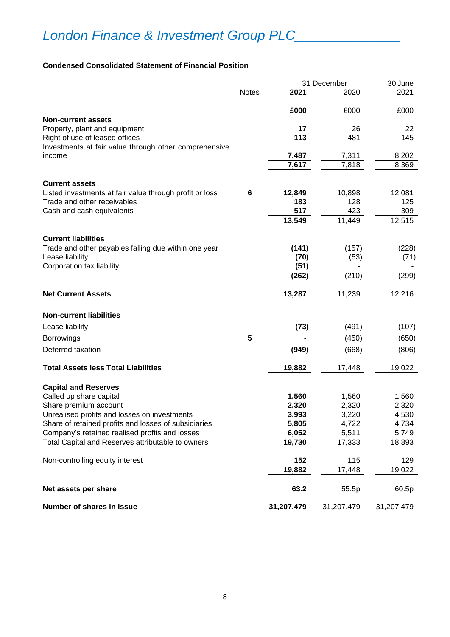### **Condensed Consolidated Statement of Financial Position**

|                                                                                         |              |            | 31 December | 30 June    |
|-----------------------------------------------------------------------------------------|--------------|------------|-------------|------------|
|                                                                                         | <b>Notes</b> | 2021       | 2020        | 2021       |
|                                                                                         |              | £000       | £000        | £000       |
| <b>Non-current assets</b>                                                               |              |            |             |            |
| Property, plant and equipment                                                           |              | 17         | 26          | 22         |
| Right of use of leased offices<br>Investments at fair value through other comprehensive |              | 113        | 481         | 145        |
| income                                                                                  |              | 7,487      | 7,311       | 8,202      |
|                                                                                         |              | 7,617      | 7,818       | 8,369      |
| <b>Current assets</b>                                                                   |              |            |             |            |
| Listed investments at fair value through profit or loss                                 | 6            | 12,849     | 10,898      | 12,081     |
| Trade and other receivables                                                             |              | 183        | 128         | 125        |
| Cash and cash equivalents                                                               |              | 517        | 423         | 309        |
|                                                                                         |              | 13,549     | 11,449      | 12,515     |
| <b>Current liabilities</b>                                                              |              |            |             |            |
| Trade and other payables falling due within one year                                    |              | (141)      | (157)       | (228)      |
| Lease liability                                                                         |              | (70)       | (53)        | (71)       |
| Corporation tax liability                                                               |              | (51)       |             |            |
|                                                                                         |              | (262)      | (210)       | (299)      |
|                                                                                         |              |            |             |            |
| <b>Net Current Assets</b>                                                               |              | 13,287     | 11,239      | 12,216     |
| <b>Non-current liabilities</b>                                                          |              |            |             |            |
| Lease liability                                                                         |              | (73)       | (491)       | (107)      |
| <b>Borrowings</b>                                                                       | 5            |            | (450)       | (650)      |
| Deferred taxation                                                                       |              | (949)      | (668)       | (806)      |
|                                                                                         |              |            |             |            |
| <b>Total Assets less Total Liabilities</b>                                              |              | 19,882     | 17,448      | 19,022     |
| <b>Capital and Reserves</b>                                                             |              |            |             |            |
| Called up share capital                                                                 |              | 1,560      | 1,560       | 1,560      |
| Share premium account                                                                   |              | 2,320      | 2,320       | 2,320      |
| Unrealised profits and losses on investments                                            |              | 3,993      | 3,220       | 4,530      |
| Share of retained profits and losses of subsidiaries                                    |              | 5,805      | 4,722       | 4,734      |
| Company's retained realised profits and losses                                          |              | 6,052      | 5,511       | 5,749      |
| Total Capital and Reserves attributable to owners                                       |              | 19,730     | 17,333      | 18,893     |
| Non-controlling equity interest                                                         |              | 152        | 115         | 129        |
|                                                                                         |              | 19,882     | 17,448      | 19,022     |
| Net assets per share                                                                    |              | 63.2       | 55.5p       | 60.5p      |
| Number of shares in issue                                                               |              | 31,207,479 | 31,207,479  | 31,207,479 |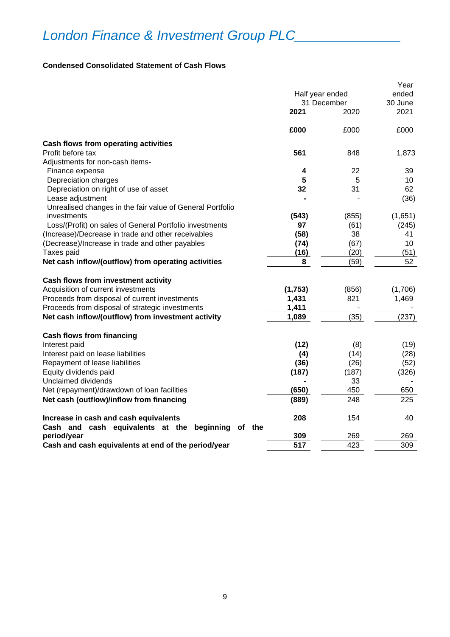### **Condensed Consolidated Statement of Cash Flows**

|                                                                        | Half year ended<br>31 December<br>2021<br>2020 |       | Year<br>ended<br>30 June<br>2021 |  |
|------------------------------------------------------------------------|------------------------------------------------|-------|----------------------------------|--|
|                                                                        | £000                                           | £000  | £000                             |  |
| Cash flows from operating activities                                   |                                                |       |                                  |  |
| Profit before tax                                                      | 561                                            | 848   | 1,873                            |  |
| Adjustments for non-cash items-                                        |                                                |       |                                  |  |
| Finance expense                                                        | 4                                              | 22    | 39                               |  |
| Depreciation charges                                                   | 5                                              | 5     | 10                               |  |
| Depreciation on right of use of asset                                  | 32                                             | 31    | 62                               |  |
| Lease adjustment                                                       |                                                |       | (36)                             |  |
| Unrealised changes in the fair value of General Portfolio              |                                                |       |                                  |  |
| investments                                                            | (543)                                          | (855) | (1,651)                          |  |
| Loss/(Profit) on sales of General Portfolio investments                | 97                                             | (61)  | (245)                            |  |
| (Increase)/Decrease in trade and other receivables                     | (58)                                           | 38    | 41                               |  |
| (Decrease)/Increase in trade and other payables                        | (74)                                           | (67)  | 10                               |  |
| Taxes paid                                                             | (16)                                           | (20)  | (51)                             |  |
| Net cash inflow/(outflow) from operating activities                    | 8                                              | (59)  | 52                               |  |
| Cash flows from investment activity                                    |                                                |       |                                  |  |
| Acquisition of current investments                                     | (1,753)                                        | (856) | (1,706)                          |  |
| Proceeds from disposal of current investments                          | 1,431                                          | 821   | 1,469                            |  |
| Proceeds from disposal of strategic investments                        | 1,411                                          |       |                                  |  |
| Net cash inflow/(outflow) from investment activity                     | 1,089                                          | (35)  | (237)                            |  |
| <b>Cash flows from financing</b>                                       |                                                |       |                                  |  |
| Interest paid                                                          | (12)                                           | (8)   | (19)                             |  |
| Interest paid on lease liabilities                                     | (4)                                            | (14)  | (28)                             |  |
| Repayment of lease liabilities                                         | (36)                                           | (26)  | (52)                             |  |
| Equity dividends paid                                                  | (187)                                          | (187) | (326)                            |  |
| Unclaimed dividends                                                    |                                                | 33    |                                  |  |
| Net (repayment)/drawdown of loan facilities                            | (650)                                          | 450   | 650                              |  |
| Net cash (outflow)/inflow from financing                               | (889)                                          | 248   | 225                              |  |
| Increase in cash and cash equivalents                                  | 208                                            | 154   | 40                               |  |
| Cash and cash equivalents at the<br>beginning<br>of the<br>period/year | 309                                            | 269   | 269                              |  |
| Cash and cash equivalents at end of the period/year                    | 517                                            | 423   | 309                              |  |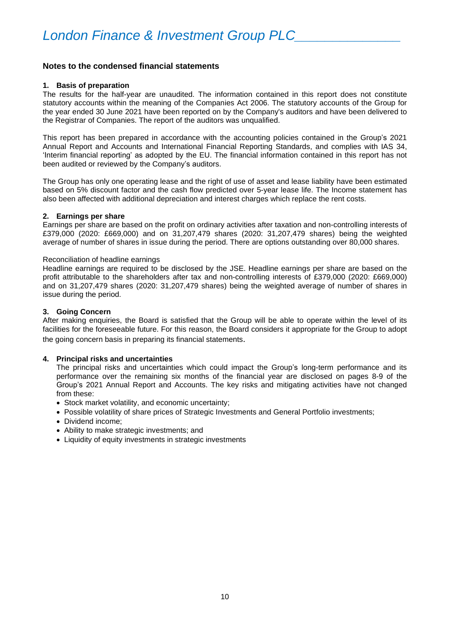### **Notes to the condensed financial statements**

### **1. Basis of preparation**

The results for the half-year are unaudited. The information contained in this report does not constitute statutory accounts within the meaning of the Companies Act 2006. The statutory accounts of the Group for the year ended 30 June 2021 have been reported on by the Company's auditors and have been delivered to the Registrar of Companies. The report of the auditors was unqualified.

This report has been prepared in accordance with the accounting policies contained in the Group's 2021 Annual Report and Accounts and International Financial Reporting Standards, and complies with IAS 34, 'Interim financial reporting' as adopted by the EU. The financial information contained in this report has not been audited or reviewed by the Company's auditors.

The Group has only one operating lease and the right of use of asset and lease liability have been estimated based on 5% discount factor and the cash flow predicted over 5-year lease life. The Income statement has also been affected with additional depreciation and interest charges which replace the rent costs.

### **2. Earnings per share**

Earnings per share are based on the profit on ordinary activities after taxation and non-controlling interests of £379,000 (2020: £669,000) and on 31,207,479 shares (2020: 31,207,479 shares) being the weighted average of number of shares in issue during the period. There are options outstanding over 80,000 shares.

#### Reconciliation of headline earnings

Headline earnings are required to be disclosed by the JSE. Headline earnings per share are based on the profit attributable to the shareholders after tax and non-controlling interests of £379,000 (2020: £669,000) and on 31,207,479 shares (2020: 31,207,479 shares) being the weighted average of number of shares in issue during the period.

### **3. Going Concern**

After making enquiries, the Board is satisfied that the Group will be able to operate within the level of its facilities for the foreseeable future. For this reason, the Board considers it appropriate for the Group to adopt the going concern basis in preparing its financial statements.

### **4. Principal risks and uncertainties**

The principal risks and uncertainties which could impact the Group's long-term performance and its performance over the remaining six months of the financial year are disclosed on pages 8-9 of the Group's 2021 Annual Report and Accounts. The key risks and mitigating activities have not changed from these:

- Stock market volatility, and economic uncertainty;
- Possible volatility of share prices of Strategic Investments and General Portfolio investments;
- Dividend income;
- Ability to make strategic investments; and
- Liquidity of equity investments in strategic investments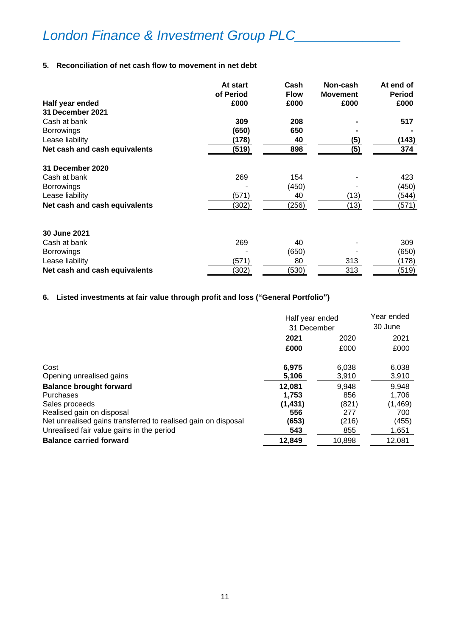### **5. Reconciliation of net cash flow to movement in net debt**

|                               | At start  | Cash        | Non-cash        | At end of     |
|-------------------------------|-----------|-------------|-----------------|---------------|
|                               | of Period | <b>Flow</b> | <b>Movement</b> | <b>Period</b> |
| Half year ended               | £000      | £000        | £000            | £000          |
| 31 December 2021              |           |             |                 |               |
| Cash at bank                  | 309       | 208         |                 | 517           |
| <b>Borrowings</b>             | (650)     | 650         |                 |               |
| Lease liability               | (178)     | 40          | (5)             | (143)         |
| Net cash and cash equivalents | (519)     | 898         | (5)             | 374           |
| 31 December 2020              |           |             |                 |               |
| Cash at bank                  | 269       | 154         |                 | 423           |
| <b>Borrowings</b>             |           | (450)       |                 | (450)         |
| Lease liability               | (571)     | 40          | (13)            | (544)         |
| Net cash and cash equivalents | (302)     | (256)       | (13)            | (571)         |
| 30 June 2021                  |           |             |                 |               |
| Cash at bank                  | 269       | 40          |                 | 309           |
| <b>Borrowings</b>             |           | (650)       |                 | (650)         |
| Lease liability               | (571)     | 80          | 313             | (178)         |
| Net cash and cash equivalents | (302)     | (530)       | 313             | (519)         |

## **6. Listed investments at fair value through profit and loss ("General Portfolio")**

|                                                               | Half year ended<br>31 December |        | Year ended<br>30 June |
|---------------------------------------------------------------|--------------------------------|--------|-----------------------|
|                                                               | 2021                           | 2020   | 2021                  |
|                                                               | £000                           | £000   | £000                  |
| Cost                                                          | 6,975                          | 6,038  | 6,038                 |
| Opening unrealised gains                                      | 5,106                          | 3,910  | 3,910                 |
| <b>Balance brought forward</b>                                | 12,081                         | 9,948  | 9,948                 |
| Purchases                                                     | 1.753                          | 856    | 1.706                 |
| Sales proceeds                                                | (1, 431)                       | (821)  | (1,469)               |
| Realised gain on disposal                                     | 556                            | 277    | 700                   |
| Net unrealised gains transferred to realised gain on disposal | (653)                          | (216)  | (455)                 |
| Unrealised fair value gains in the period                     | 543                            | 855    | 1,651                 |
| <b>Balance carried forward</b>                                | 12,849                         | 10,898 | 12,081                |